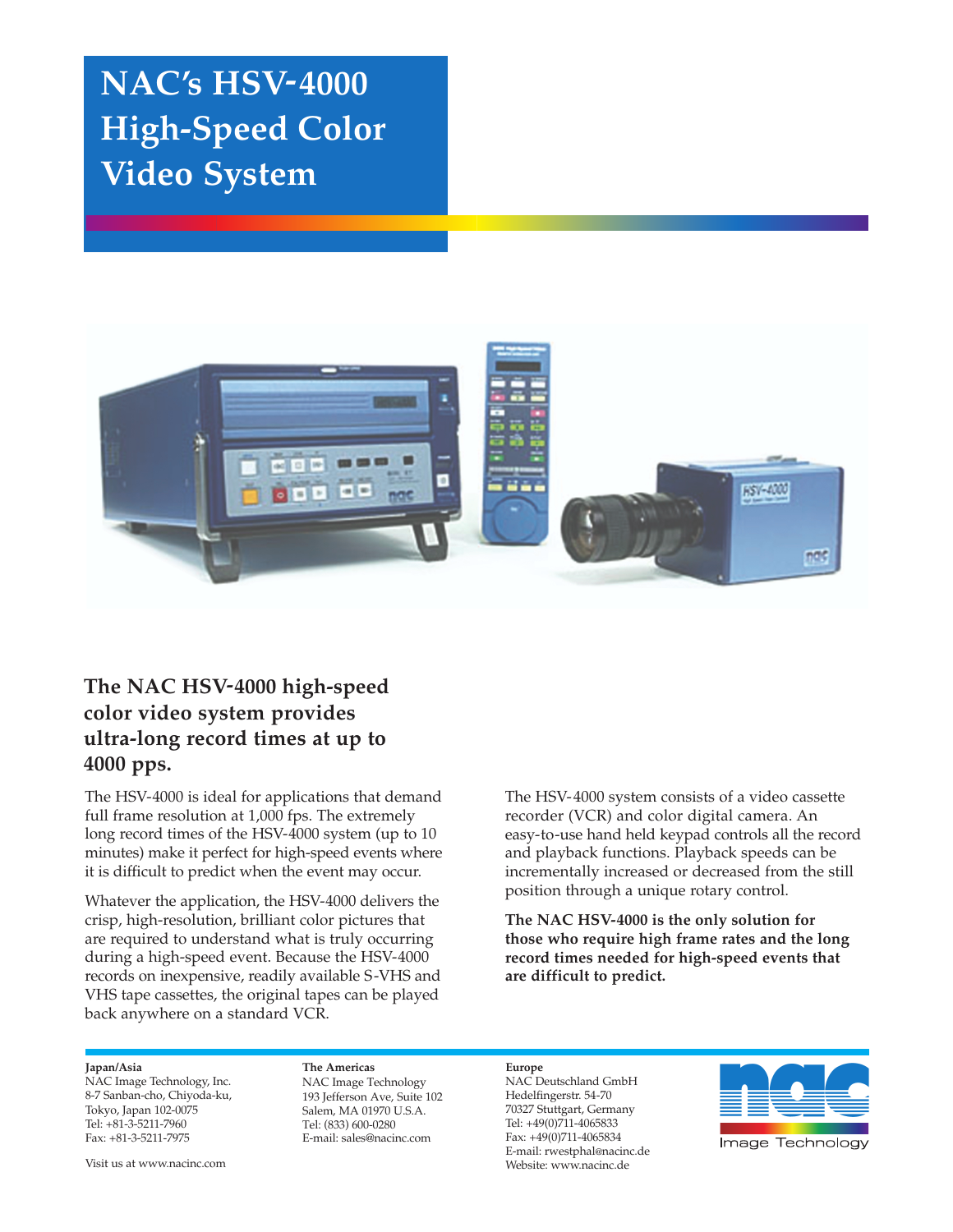# **NAC's HSV-4000 High-Speed Color Video System**



## **The NAC HSV-4000 high-speed color video system provides ultra-long record times at up to 4000 pps.**

The HSV-4000 is ideal for applications that demand full frame resolution at 1,000 fps. The extremely long record times of the HSV-4000 system (up to 10 minutes) make it perfect for high-speed events where it is difficult to predict when the event may occur.

Whatever the application, the HSV-4000 delivers the crisp, high-resolution, brilliant color pictures that are required to understand what is truly occurring during a high-speed event. Because the HSV-4000 records on inexpensive, readily available S-VHS and VHS tape cassettes, the original tapes can be played back anywhere on a standard VCR.

The HSV-4000 system consists of a video cassette recorder (VCR) and color digital camera. An easy-to-use hand held keypad controls all the record and playback functions. Playback speeds can be incrementally increased or decreased from the still position through a unique rotary control.

**The NAC HSV-4000 is the only solution for those who require high frame rates and the long record times needed for high-speed events that are difficult to predict.**

## **Japan/Asia**

NAC Image Technology, Inc. 8-7 Sanban-cho, Chiyoda-ku, Tokyo, Japan 102-0075 Tel: +81-3-5211-7960 Fax: +81-3-5211-7975

Visit us at www.nacinc.com

#### **The Americas**

NAC Image Technology 193 Jefferson Ave, Suite 102 Salem, MA 01970 U.S.A. Tel: (833) 600-0280 E-mail: sales@nacinc.com

**Europe** NAC Deutschland GmbH Hedelfingerstr. 54-70 70327 Stuttgart, Germany Tel: +49(0)711-4065833 Fax: +49(0)711-4065834 E-mail: rwestphal@nacinc.de Website: www.nacinc.de



Image Technology